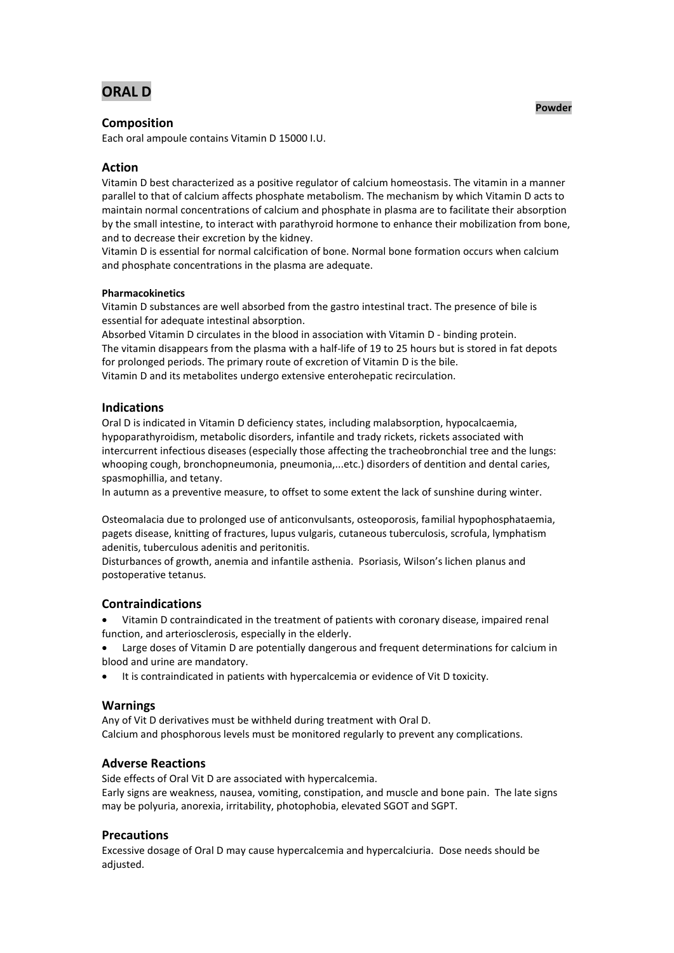# **ORAL D**

# **Composition**

Each oral ampoule contains Vitamin D 15000 I.U.

# **Action**

Vitamin D best characterized as a positive regulator of calcium homeostasis. The vitamin in a manner parallel to that of calcium affects phosphate metabolism. The mechanism by which Vitamin D acts to maintain normal concentrations of calcium and phosphate in plasma are to facilitate their absorption by the small intestine, to interact with parathyroid hormone to enhance their mobilization from bone, and to decrease their excretion by the kidney.

Vitamin D is essential for normal calcification of bone. Normal bone formation occurs when calcium and phosphate concentrations in the plasma are adequate.

## **Pharmacokinetics**

Vitamin D substances are well absorbed from the gastro intestinal tract. The presence of bile is essential for adequate intestinal absorption.

Absorbed Vitamin D circulates in the blood in association with Vitamin D - binding protein. The vitamin disappears from the plasma with a half-life of 19 to 25 hours but is stored in fat depots for prolonged periods. The primary route of excretion of Vitamin D is the bile. Vitamin D and its metabolites undergo extensive enterohepatic recirculation.

## **Indications**

Oral D is indicated in Vitamin D deficiency states, including malabsorption, hypocalcaemia, hypoparathyroidism, metabolic disorders, infantile and trady rickets, rickets associated with intercurrent infectious diseases (especially those affecting the tracheobronchial tree and the lungs: whooping cough, bronchopneumonia, pneumonia,...etc.) disorders of dentition and dental caries, spasmophillia, and tetany.

In autumn as a preventive measure, to offset to some extent the lack of sunshine during winter.

Osteomalacia due to prolonged use of anticonvulsants, osteoporosis, familial hypophosphataemia, pagets disease, knitting of fractures, lupus vulgaris, cutaneous tuberculosis, scrofula, lymphatism adenitis, tuberculous adenitis and peritonitis.

Disturbances of growth, anemia and infantile asthenia. Psoriasis, Wilson's lichen planus and postoperative tetanus.

## **Contraindications**

- Vitamin D contraindicated in the treatment of patients with coronary disease, impaired renal function, and arteriosclerosis, especially in the elderly.
- Large doses of Vitamin D are potentially dangerous and frequent determinations for calcium in blood and urine are mandatory.
- It is contraindicated in patients with hypercalcemia or evidence of Vit D toxicity.

## **Warnings**

Any of Vit D derivatives must be withheld during treatment with Oral D. Calcium and phosphorous levels must be monitored regularly to prevent any complications.

# **Adverse Reactions**

Side effects of Oral Vit D are associated with hypercalcemia. Early signs are weakness, nausea, vomiting, constipation, and muscle and bone pain. The late signs may be polyuria, anorexia, irritability, photophobia, elevated SGOT and SGPT.

## **Precautions**

Excessive dosage of Oral D may cause hypercalcemia and hypercalciuria. Dose needs should be adjusted.